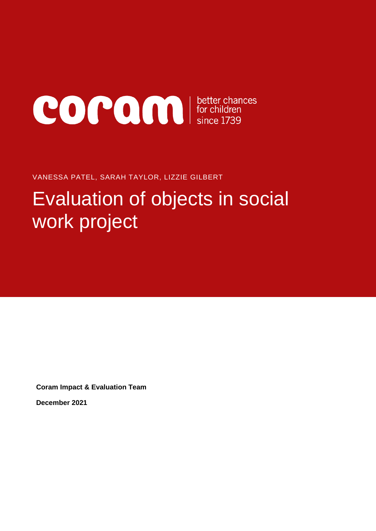

VANESSA PATEL, SARAH TAYLOR, LIZZIE GILBERT

# Evaluation of objects in social work project

**Coram Impact & Evaluation Team**

**December 2021**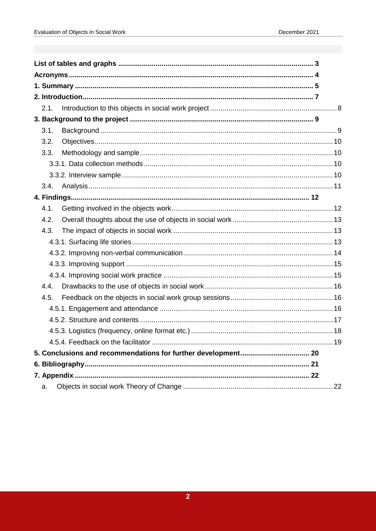| 2.1. |    |
|------|----|
|      |    |
| 3.1. |    |
| 3.2. |    |
| 3.3. |    |
|      |    |
|      |    |
| 3.4. |    |
|      |    |
| 4.1. |    |
| 4.2. |    |
| 4.3. |    |
|      |    |
|      |    |
|      |    |
|      |    |
| 4.4. |    |
| 4.5. |    |
|      |    |
|      |    |
|      |    |
|      |    |
|      |    |
|      |    |
|      |    |
| a.   | 22 |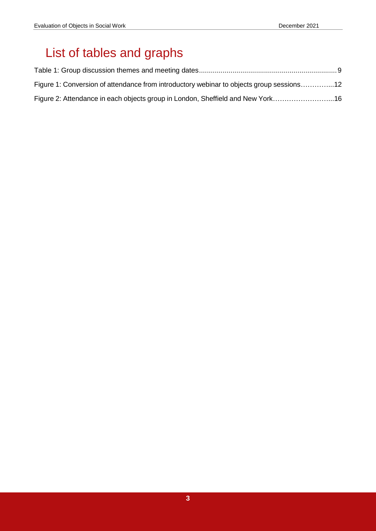# <span id="page-2-0"></span>List of tables and graphs

| Figure 1: Conversion of attendance from introductory webinar to objects group sessions12 |  |
|------------------------------------------------------------------------------------------|--|
| Figure 2: Attendance in each objects group in London, Sheffield and New York16           |  |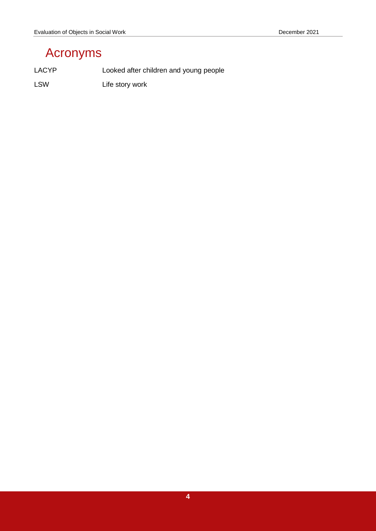# <span id="page-3-0"></span>Acronyms

LACYP Looked after children and young people

LSW Life story work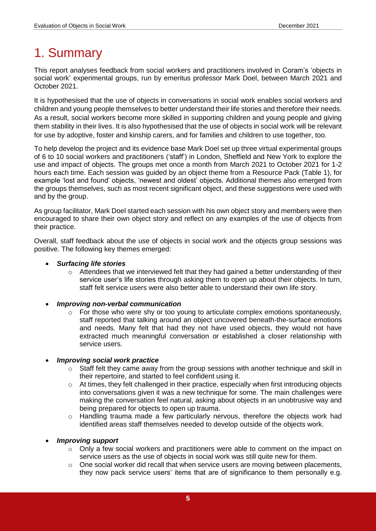# <span id="page-4-0"></span>1. Summary

This report analyses feedback from social workers and practitioners involved in Coram's 'objects in social work' experimental groups, run by emeritus professor Mark Doel, between March 2021 and October 2021.

It is hypothesised that the use of objects in conversations in social work enables social workers and children and young people themselves to better understand their life stories and therefore their needs. As a result, social workers become more skilled in supporting children and young people and giving them stability in their lives. It is also hypothesised that the use of objects in social work will be relevant for use by adoptive, foster and kinship carers, and for families and children to use together, too.

To help develop the project and its evidence base Mark Doel set up three virtual experimental groups of 6 to 10 social workers and practitioners ('staff') in London, Sheffield and New York to explore the use and impact of objects. The groups met once a month from March 2021 to October 2021 for 1-2 hours each time. Each session was guided by an object theme from a Resource Pack (Table 1), for example 'lost and found' objects, 'newest and oldest' objects. Additional themes also emerged from the groups themselves, such as most recent significant object, and these suggestions were used with and by the group.

As group facilitator, Mark Doel started each session with his own object story and members were then encouraged to share their own object story and reflect on any examples of the use of objects from their practice.

Overall, staff feedback about the use of objects in social work and the objects group sessions was positive. The following key themes emerged:

### *Surfacing life stories*

- o Attendees that we interviewed felt that they had gained a better understanding of their service user's life stories through asking them to open up about their objects. In turn, staff felt service users were also better able to understand their own life story.
- *Improving non-verbal communication*
	- o For those who were shy or too young to articulate complex emotions spontaneously, staff reported that talking around an object uncovered beneath-the-surface emotions and needs. Many felt that had they not have used objects, they would not have extracted much meaningful conversation or established a closer relationship with service users.

### *Improving social work practice*

- o Staff felt they came away from the group sessions with another technique and skill in their repertoire, and started to feel confident using it.
- $\circ$  At times, they felt challenged in their practice, especially when first introducing objects into conversations given it was a new technique for some. The main challenges were making the conversation feel natural, asking about objects in an unobtrusive way and being prepared for objects to open up trauma.
- o Handling trauma made a few particularly nervous, therefore the objects work had identified areas staff themselves needed to develop outside of the objects work.

#### *Improving support*

- o Only a few social workers and practitioners were able to comment on the impact on service users as the use of objects in social work was still quite new for them.
- o One social worker did recall that when service users are moving between placements, they now pack service users' items that are of significance to them personally e.g.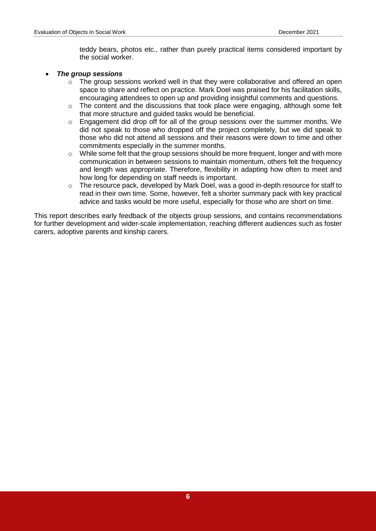teddy bears, photos etc., rather than purely practical items considered important by the social worker.

#### *The group sessions*

- o The group sessions worked well in that they were collaborative and offered an open space to share and reflect on practice. Mark Doel was praised for his facilitation skills, encouraging attendees to open up and providing insightful comments and questions.
- $\circ$  The content and the discussions that took place were engaging, although some felt that more structure and guided tasks would be beneficial.
- o Engagement did drop off for all of the group sessions over the summer months. We did not speak to those who dropped off the project completely, but we did speak to those who did not attend all sessions and their reasons were down to time and other commitments especially in the summer months.
- $\circ$  While some felt that the group sessions should be more frequent, longer and with more communication in between sessions to maintain momentum, others felt the frequency and length was appropriate. Therefore, flexibility in adapting how often to meet and how long for depending on staff needs is important.
- $\circ$  The resource pack, developed by Mark Doel, was a good in-depth resource for staff to read in their own time. Some, however, felt a shorter summary pack with key practical advice and tasks would be more useful, especially for those who are short on time.

This report describes early feedback of the objects group sessions, and contains recommendations for further development and wider-scale implementation, reaching different audiences such as foster carers, adoptive parents and kinship carers.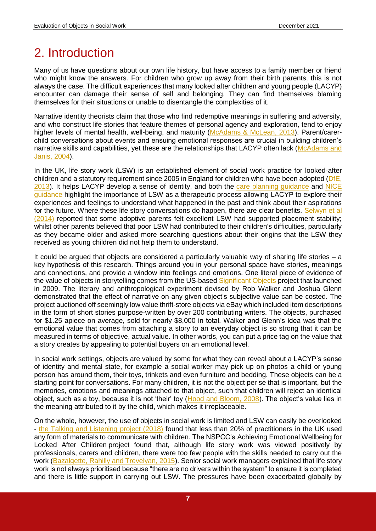# <span id="page-6-0"></span>2. Introduction

Many of us have questions about our own life history, but have access to a family member or friend who might know the answers. For children who grow up away from their birth parents, this is not always the case. The difficult experiences that many looked after children and young people (LACYP) encounter can damage their sense of self and belonging. They can find themselves blaming themselves for their situations or unable to disentangle the complexities of it.

Narrative identity theorists claim that those who find redemptive meanings in suffering and adversity, and who construct life stories that feature themes of personal agency and exploration, tend to enjoy higher levels of mental health, well-being, and maturity [\(McAdams & McLean, 2013\)](https://www.researchgate.net/publication/269603657_Narrative_Identity). Parent/carerchild conversations about events and ensuing emotional responses are crucial in building children's narrative skills and capabilities, yet these are the relationships that LACYP often lack [\(McAdams and](https://psycnet.apa.org/record/2004-12477-009)  [Janis, 2004\)](https://psycnet.apa.org/record/2004-12477-009).

In the UK, life story work (LSW) is an established element of social work practice for looked-after children and a statutory requirement since 2005 in England for children who have been adopted (DfE, [2013\)](https://assets.publishing.service.gov.uk/government/uploads/system/uploads/attachment_data/file/270100/adoption_statutory_guidance_2013.pdf). It helps LACYP develop a sense of identity, and both the [care planning guidance](https://assets.publishing.service.gov.uk/government/uploads/system/uploads/attachment_data/file/1000549/The_Children_Act_1989_guidance_and_regulations_Volume_2_care_planning__placement_and_case_review.pdf) and [NICE](https://www.nice.org.uk/guidance/ph28)  [guidance](https://www.nice.org.uk/guidance/ph28) highlight the importance of LSW as a therapeutic process allowing LACYP to explore their experiences and feelings to understand what happened in the past and think about their aspirations for the future. Where these life story conversations do happen, there are clear benefits. Selwyn et all [\(2014\)](https://assets.publishing.service.gov.uk/government/uploads/system/uploads/attachment_data/file/301889/Final_Report_-_3rd_April_2014v2.pdf) reported that some adoptive parents felt excellent LSW had supported placement stability; whilst other parents believed that poor LSW had contributed to their children's difficulties, particularly as they became older and asked more searching questions about their origins that the LSW they received as young children did not help them to understand.

It could be argued that objects are considered a particularly valuable way of sharing life stories – a key hypothesis of this research. Things around you in your personal space have stories, meanings and connections, and provide a window into feelings and emotions. One literal piece of evidence of the value of objects in storytelling comes from the US-based [Significant Objects](http://significantobjects.com/) project that launched in 2009. The literary and anthropological experiment devised by Rob Walker and Joshua Glenn demonstrated that the effect of narrative on any given object's subjective value can be costed. The project auctioned off seemingly low value thrift-store objects via eBay which included item descriptions in the form of short stories purpose-written by over 200 contributing writers. The objects, purchased for \$1.25 apiece on average, sold for nearly \$8,000 in total. Walker and Glenn's idea was that the emotional value that comes from attaching a story to an everyday object is so strong that it can be measured in terms of objective, actual value. In other words, you can put a price tag on the value that a story creates by appealing to potential buyers on an emotional level.

In social work settings, objects are valued by some for what they can reveal about a LACYP's sense of identity and mental state, for example a social worker may pick up on photos a child or young person has around them, their toys, trinkets and even furniture and bedding. These objects can be a starting point for conversations. For many children, it is not the object per se that is important, but the memories, emotions and meanings attached to that object, such that children will reject an identical object, such as a toy, because it is not 'their' toy [\(Hood and Bloom, 2008\)](http://minddevlab.yale.edu/sites/default/files/files/Children%20prefer%20certain%20individuals%20over%20perfect%20duplicates.pdf). The object's value lies in the meaning attributed to it by the child, which makes it irreplaceable.

On the whole, however, the use of objects in social work is limited and LSW can easily be overlooked - [the Talking and Listening project \(2018\)](https://talkingandlisteningtochildren.co.uk/wp-content/uploads/2015/10/TLC-report-FINAL.pdf) found that less than 20% of practitioners in the UK used any form of materials to communicate with children. The NSPCC's [Achieving Emotional Wellbeing for](https://learning.nspcc.org.uk/research-resources/2015/achieving-emotional-wellbeing-looked-after-children-whole-system-approach/)  [Looked After Children](https://learning.nspcc.org.uk/research-resources/2015/achieving-emotional-wellbeing-looked-after-children-whole-system-approach/) project found that, although life story work was viewed positively by professionals, carers and children, there were too few people with the skills needed to carry out the work [\(Bazalgette, Rahilly and Trevelyan, 2015\)](https://learning.nspcc.org.uk/media/1122/achieving-emotional-wellbeing-for-looked-after-children.pdf). Senior social work managers explained that life story work is not always prioritised because "there are no drivers within the system" to ensure it is completed and there is little support in carrying out LSW. The pressures have been exacerbated globally by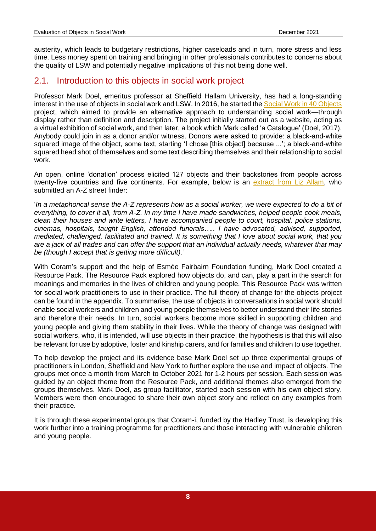austerity, which leads to budgetary restrictions, higher caseloads and in turn, more stress and less time. Less money spent on training and bringing in other professionals contributes to concerns about the quality of LSW and potentially negative implications of this not being done well.

# <span id="page-7-0"></span>2.1. Introduction to this objects in social work project

Professor Mark Doel, emeritus professor at Sheffield Hallam University, has had a long-standing interest in the use of objects in social work and LSW. In 2016, he started the [Social Work in 40 Objects](https://socialworkin40objects.com/) project, which aimed to provide an alternative approach to understanding social work—through display rather than definition and description. The project initially started out as a website, acting as a virtual exhibition of social work, and then later, a book which Mark called 'a Catalogue' (Doel, 2017). Anybody could join in as a donor and/or witness. Donors were asked to provide: a black-and-white squared image of the object, some text, starting 'I chose [this object] because ...'; a black-and-white squared head shot of themselves and some text describing themselves and their relationship to social work.

An open, online 'donation' process elicited 127 objects and their backstories from people across twenty-five countries and five continents. For example, below is an [extract from Liz Allam,](https://socialworkin40objects.com/2016/01/27/a-z-street-finder/) who submitted an A-Z street finder:

'*In a metaphorical sense the A-Z represents how as a social worker, we were expected to do a bit of everything, to cover it all, from A-Z. In my time I have made sandwiches, helped people cook meals, clean their houses and write letters, I have accompanied people to court, hospital, police stations, cinemas, hospitals, taught English, attended funerals….. I have advocated, advised, supported, mediated, challenged, facilitated and trained. It is something that I love about social work, that you are a jack of all trades and can offer the support that an individual actually needs, whatever that may be (though I accept that is getting more difficult).'*

With Coram's support and the help of Esmée Fairbairn Foundation funding, Mark Doel created a Resource Pack. The Resource Pack explored how objects do, and can, play a part in the search for meanings and memories in the lives of children and young people. This Resource Pack was written for social work practitioners to use in their practice. The full theory of change for the objects project can be found in the appendix. To summarise, the use of objects in conversations in social work should enable social workers and children and young people themselves to better understand their life stories and therefore their needs. In turn, social workers become more skilled in supporting children and young people and giving them stability in their lives. While the theory of change was designed with social workers, who, it is intended, will use objects in their practice, the hypothesis is that this will also be relevant for use by adoptive, foster and kinship carers, and for families and children to use together.

To help develop the project and its evidence base Mark Doel set up three experimental groups of practitioners in London, Sheffield and New York to further explore the use and impact of objects. The groups met once a month from March to October 2021 for 1-2 hours per session. Each session was guided by an object theme from the Resource Pack, and additional themes also emerged from the groups themselves. Mark Doel, as group facilitator, started each session with his own object story. Members were then encouraged to share their own object story and reflect on any examples from their practice.

It is through these experimental groups that Coram-i, funded by the Hadley Trust, is developing this work further into a training programme for practitioners and those interacting with vulnerable children and young people.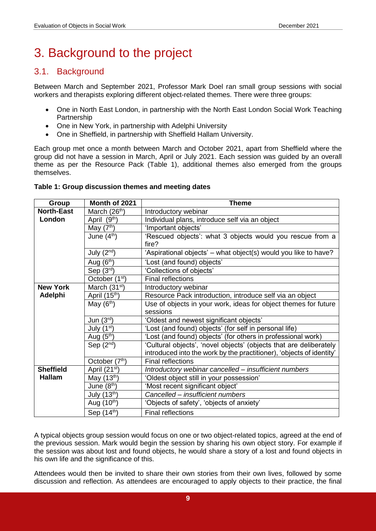# <span id="page-8-0"></span>3. Background to the project

# <span id="page-8-1"></span>3.1. Background

Between March and September 2021, Professor Mark Doel ran small group sessions with social workers and therapists exploring different object-related themes. There were three groups:

- One in North East London, in partnership with the North East London Social Work Teaching Partnership
- One in New York, in partnership with Adelphi University
- One in Sheffield, in partnership with Sheffield Hallam University.

Each group met once a month between March and October 2021, apart from Sheffield where the group did not have a session in March, April or July 2021. Each session was guided by an overall theme as per the Resource Pack (Table 1), additional themes also emerged from the groups themselves.

### <span id="page-8-2"></span>**Table 1: Group discussion themes and meeting dates**

| Group             | Month of 2021              | <b>Theme</b>                                                         |
|-------------------|----------------------------|----------------------------------------------------------------------|
| <b>North-East</b> | March (26 <sup>th</sup> )  | Introductory webinar                                                 |
| London            | April (9th)                | Individual plans, introduce self via an object                       |
|                   | May $(7th)$                | 'Important objects'                                                  |
|                   | June $(4^{th})$            | 'Rescued objects': what 3 objects would you rescue from a            |
|                   |                            | fire?                                                                |
|                   | July $(2^{nd})$            | 'Aspirational objects' – what object(s) would you like to have?      |
|                   | Aug (6th)                  | 'Lost (and found) objects'                                           |
|                   | Sep $(3rd)$                | 'Collections of objects'                                             |
|                   | October (1 <sup>st</sup> ) | <b>Final reflections</b>                                             |
| <b>New York</b>   | March $(31st)$             | Introductory webinar                                                 |
| Adelphi           | April (15th)               | Resource Pack introduction, introduce self via an object             |
|                   | May $(6th)$                | Use of objects in your work, ideas for object themes for future      |
|                   |                            | sessions                                                             |
|                   | Jun $(3rd)$                | 'Oldest and newest significant objects'                              |
|                   | July $(1st)$               | 'Lost (and found) objects' (for self in personal life)               |
|                   | Aug $(5th)$                | 'Lost (and found) objects' (for others in professional work)         |
|                   | Sep $(2^{nd})$             | 'Cultural objects', 'novel objects' (objects that are deliberately   |
|                   |                            | introduced into the work by the practitioner), 'objects of identity' |
|                   | October (7th)              | <b>Final reflections</b>                                             |
| <b>Sheffield</b>  | April (21 <sup>st</sup> )  | Introductory webinar cancelled - insufficient numbers                |
| <b>Hallam</b>     | May $(13th)$               | 'Oldest object still in your possession'                             |
|                   | June $(8th)$               | 'Most recent significant object'                                     |
|                   | July $(13th)$              | Cancelled - insufficient numbers                                     |
|                   | Aug $(10^{th})$            | 'Objects of safety', 'objects of anxiety'                            |
|                   | Sep $(14th)$               | <b>Final reflections</b>                                             |

A typical objects group session would focus on one or two object-related topics, agreed at the end of the previous session. Mark would begin the session by sharing his own object story. For example if the session was about lost and found objects, he would share a story of a lost and found objects in his own life and the significance of this.

Attendees would then be invited to share their own stories from their own lives, followed by some discussion and reflection. As attendees are encouraged to apply objects to their practice, the final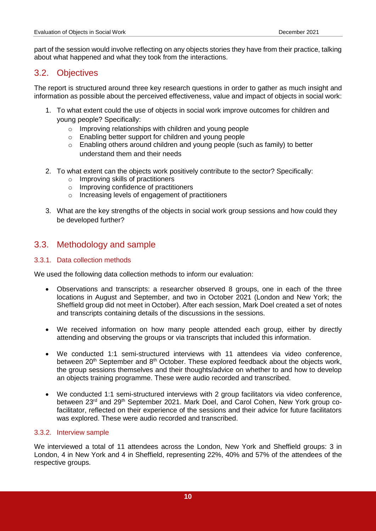part of the session would involve reflecting on any objects stories they have from their practice, talking about what happened and what they took from the interactions.

# <span id="page-9-0"></span>3.2. Objectives

The report is structured around three key research questions in order to gather as much insight and information as possible about the perceived effectiveness, value and impact of objects in social work:

- 1. To what extent could the use of objects in social work improve outcomes for children and young people? Specifically:
	- o Improving relationships with children and young people
	- o Enabling better support for children and young people
	- o Enabling others around children and young people (such as family) to better understand them and their needs
- 2. To what extent can the objects work positively contribute to the sector? Specifically:
	- o Improving skills of practitioners
	- o Improving confidence of practitioners
	- o Increasing levels of engagement of practitioners
- 3. What are the key strengths of the objects in social work group sessions and how could they be developed further?

## <span id="page-9-1"></span>3.3. Methodology and sample

### <span id="page-9-2"></span>3.3.1. Data collection methods

We used the following data collection methods to inform our evaluation:

- Observations and transcripts: a researcher observed 8 groups, one in each of the three locations in August and September, and two in October 2021 (London and New York; the Sheffield group did not meet in October). After each session, Mark Doel created a set of notes and transcripts containing details of the discussions in the sessions.
- We received information on how many people attended each group, either by directly attending and observing the groups or via transcripts that included this information.
- We conducted 1:1 semi-structured interviews with 11 attendees via video conference, between 20<sup>th</sup> September and 8<sup>th</sup> October. These explored feedback about the objects work, the group sessions themselves and their thoughts/advice on whether to and how to develop an objects training programme. These were audio recorded and transcribed.
- We conducted 1:1 semi-structured interviews with 2 group facilitators via video conference, between 23<sup>rd</sup> and 29<sup>th</sup> September 2021. Mark Doel, and Carol Cohen, New York group cofacilitator, reflected on their experience of the sessions and their advice for future facilitators was explored. These were audio recorded and transcribed.

#### <span id="page-9-3"></span>3.3.2. Interview sample

We interviewed a total of 11 attendees across the London, New York and Sheffield groups: 3 in London, 4 in New York and 4 in Sheffield, representing 22%, 40% and 57% of the attendees of the respective groups.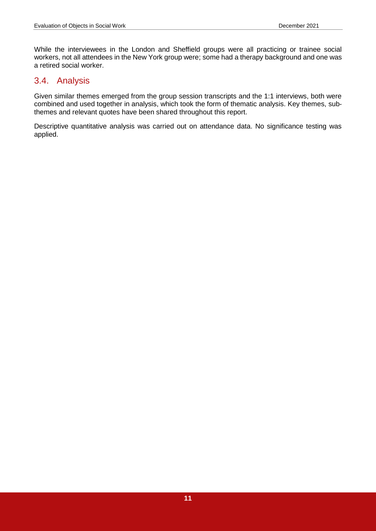While the interviewees in the London and Sheffield groups were all practicing or trainee social workers, not all attendees in the New York group were; some had a therapy background and one was a retired social worker.

# <span id="page-10-0"></span>3.4. Analysis

Given similar themes emerged from the group session transcripts and the 1:1 interviews, both were combined and used together in analysis, which took the form of thematic analysis. Key themes, subthemes and relevant quotes have been shared throughout this report.

Descriptive quantitative analysis was carried out on attendance data. No significance testing was applied.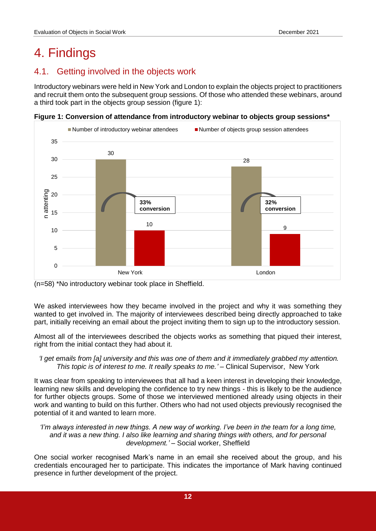# <span id="page-11-0"></span>4. Findings

# <span id="page-11-1"></span>4.1. Getting involved in the objects work

Introductory webinars were held in New York and London to explain the objects project to practitioners and recruit them onto the subsequent group sessions. Of those who attended these webinars, around a third took part in the objects group session (figure 1):

**Figure 1: Conversion of attendance from introductory webinar to objects group sessions\***





We asked interviewees how they became involved in the project and why it was something they wanted to get involved in. The majority of interviewees described being directly approached to take part, initially receiving an email about the project inviting them to sign up to the introductory session.

Almost all of the interviewees described the objects works as something that piqued their interest, right from the initial contact they had about it.

*'I get emails from [a] university and this was one of them and it immediately grabbed my attention. This topic is of interest to me. It really speaks to me.' –* Clinical Supervisor, New York

It was clear from speaking to interviewees that all had a keen interest in developing their knowledge, learning new skills and developing the confidence to try new things - this is likely to be the audience for further objects groups. Some of those we interviewed mentioned already using objects in their work and wanting to build on this further. Others who had not used objects previously recognised the potential of it and wanted to learn more.

*'I'm always interested in new things. A new way of working. I've been in the team for a long time, and it was a new thing. I also like learning and sharing things with others, and for personal development.' –* Social worker, Sheffield

One social worker recognised Mark's name in an email she received about the group, and his credentials encouraged her to participate. This indicates the importance of Mark having continued presence in further development of the project.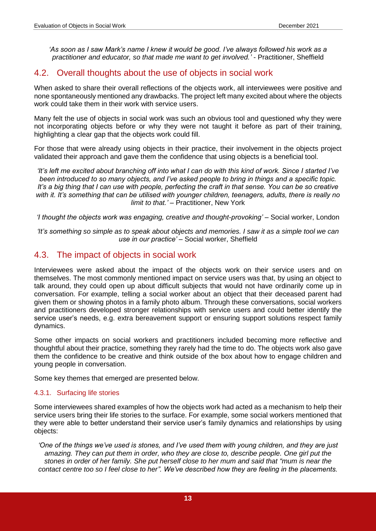*'As soon as I saw Mark's name I knew it would be good. I've always followed his work as a practitioner and educator, so that made me want to get involved.' -* Practitioner, Sheffield

# <span id="page-12-0"></span>4.2. Overall thoughts about the use of objects in social work

When asked to share their overall reflections of the objects work, all interviewees were positive and none spontaneously mentioned any drawbacks. The project left many excited about where the objects work could take them in their work with service users.

Many felt the use of objects in social work was such an obvious tool and questioned why they were not incorporating objects before or why they were not taught it before as part of their training, highlighting a clear gap that the objects work could fill.

For those that were already using objects in their practice, their involvement in the objects project validated their approach and gave them the confidence that using objects is a beneficial tool.

*'It's left me excited about branching off into what I can do with this kind of work. Since I started I've been introduced to so many objects, and I've asked people to bring in things and a specific topic. It's a big thing that I can use with people, perfecting the craft in that sense. You can be so creative with it. It's something that can be utilised with younger children, teenagers, adults, there is really no limit to that.' –* Practitioner, New York

*'I thought the objects work was engaging, creative and thought-provoking'* – Social worker, London

*'It's something so simple as to speak about objects and memories. I saw it as a simple tool we can use in our practice' –* Social worker, Sheffield

# <span id="page-12-1"></span>4.3. The impact of objects in social work

Interviewees were asked about the impact of the objects work on their service users and on themselves. The most commonly mentioned impact on service users was that, by using an object to talk around, they could open up about difficult subjects that would not have ordinarily come up in conversation. For example, telling a social worker about an object that their deceased parent had given them or showing photos in a family photo album. Through these conversations, social workers and practitioners developed stronger relationships with service users and could better identify the service user's needs, e.g. extra bereavement support or ensuring support solutions respect family dynamics.

Some other impacts on social workers and practitioners included becoming more reflective and thoughtful about their practice, something they rarely had the time to do. The objects work also gave them the confidence to be creative and think outside of the box about how to engage children and young people in conversation.

Some key themes that emerged are presented below.

### <span id="page-12-2"></span>4.3.1. Surfacing life stories

Some interviewees shared examples of how the objects work had acted as a mechanism to help their service users bring their life stories to the surface. For example, some social workers mentioned that they were able to better understand their service user's family dynamics and relationships by using objects:

*'One of the things we've used is stones, and I've used them with young children, and they are just amazing. They can put them in order, who they are close to, describe people. One girl put the stones in order of her family. She put herself close to her mum and said that "mum is near the contact centre too so I feel close to her". We've described how they are feeling in the placements.*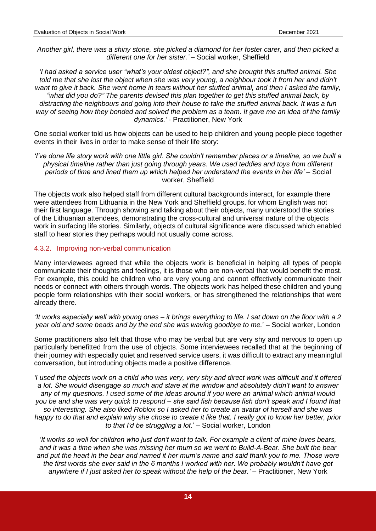*Another girl, there was a shiny stone, she picked a diamond for her foster carer, and then picked a different one for her sister.' –* Social worker, Sheffield

*'I had asked a service user "what's your oldest object?", and she brought this stuffed animal. She told me that she lost the object when she was very young, a neighbour took it from her and didn't want to give it back. She went home in tears without her stuffed animal, and then I asked the family, "what did you do?" The parents devised this plan together to get this stuffed animal back, by distracting the neighbours and going into their house to take the stuffed animal back. It was a fun way of seeing how they bonded and solved the problem as a team. It gave me an idea of the family dynamics.'* - Practitioner, New York

One social worker told us how objects can be used to help children and young people piece together events in their lives in order to make sense of their life story:

*'I've done life story work with one little girl. She couldn't remember places or a timeline, so we built a physical timeline rather than just going through years. We used teddies and toys from different periods of time and lined them up which helped her understand the events in her life'* – Social worker, Sheffield

The objects work also helped staff from different cultural backgrounds interact, for example there were attendees from Lithuania in the New York and Sheffield groups, for whom English was not their first language. Through showing and talking about their objects, many understood the stories of the Lithuanian attendees, demonstrating the cross-cultural and universal nature of the objects work in surfacing life stories. Similarly, objects of cultural significance were discussed which enabled staff to hear stories they perhaps would not usually come across.

#### <span id="page-13-0"></span>4.3.2. Improving non-verbal communication

Many interviewees agreed that while the objects work is beneficial in helping all types of people communicate their thoughts and feelings, it is those who are non-verbal that would benefit the most. For example, this could be children who are very young and cannot effectively communicate their needs or connect with others through words. The objects work has helped these children and young people form relationships with their social workers, or has strengthened the relationships that were already there.

*'It works especially well with young ones – it brings everything to life. I sat down on the floor with a 2 year old and some beads and by the end she was waving goodbye to me.*' – Social worker, London

Some practitioners also felt that those who may be verbal but are very shy and nervous to open up particularly benefitted from the use of objects. Some interviewees recalled that at the beginning of their journey with especially quiet and reserved service users, it was difficult to extract any meaningful conversation, but introducing objects made a positive difference.

*'I used the objects work on a child who was very, very shy and direct work was difficult and it offered a lot. She would disengage so much and stare at the window and absolutely didn't want to answer any of my questions. I used some of the ideas around if you were an animal which animal would you be and she was very quick to respond – she said fish because fish don't speak and I found that so interesting. She also liked Roblox so I asked her to create an avatar of herself and she was happy to do that and explain why she chose to create it like that. I really got to know her better, prior to that I'd be struggling a lot.*' – Social worker, London

*'It works so well for children who just don't want to talk. For example a client of mine loves bears, and it was a time when she was missing her mum so we went to Build-A-Bear. She built the bear and put the heart in the bear and named it her mum's name and said thank you to me. Those were the first words she ever said in the 6 months I worked with her. We probably wouldn't have got anywhere if I just asked her to speak without the help of the bear.' –* Practitioner, New York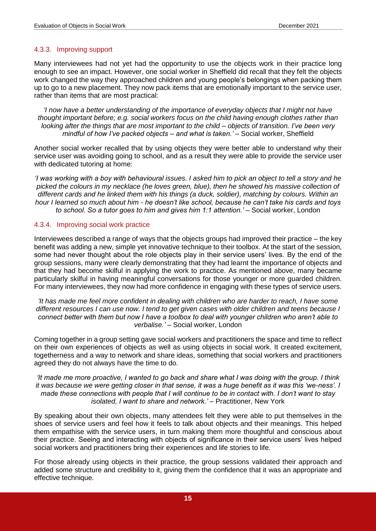### <span id="page-14-0"></span>4.3.3. Improving support

Many interviewees had not yet had the opportunity to use the objects work in their practice long enough to see an impact. However, one social worker in Sheffield did recall that they felt the objects work changed the way they approached children and young people's belongings when packing them up to go to a new placement. They now pack items that are emotionally important to the service user, rather than items that are most practical:

*'I now have a better understanding of the importance of everyday objects that I might not have thought important before; e.g. social workers focus on the child having enough clothes rather than looking after the things that are most important to the child – objects of transition. I've been very mindful of how I've packed objects – and what is taken.'* – Social worker, Sheffield

Another social worker recalled that by using objects they were better able to understand why their service user was avoiding going to school, and as a result they were able to provide the service user with dedicated tutoring at home:

*'I was working with a boy with behavioural issues. I asked him to pick an object to tell a story and he picked the colours in my necklace (he loves green, blue), then he showed his massive collection of different cards and he linked them with his things (a duck, soldier), matching by colours. Within an hour I learned so much about him - he doesn't like school, because he can't take his cards and toys to school. So a tutor goes to him and gives him 1:1 attention.' –* Social worker, London

#### <span id="page-14-1"></span>4.3.4. Improving social work practice

Interviewees described a range of ways that the objects groups had improved their practice – the key benefit was adding a new, simple yet innovative technique to their toolbox. At the start of the session, some had never thought about the role objects play in their service users' lives. By the end of the group sessions, many were clearly demonstrating that they had learnt the importance of objects and that they had become skilful in applying the work to practice. As mentioned above, many became particularly skilful in having meaningful conversations for those younger or more guarded children. For many interviewees, they now had more confidence in engaging with these types of service users.

*'It has made me feel more confident in dealing with children who are harder to reach, I have some different resources I can use now. I tend to get given cases with older children and teens because I connect better with them but now I have a toolbox to deal with younger children who aren't able to verbalise.' –* Social worker, London

Coming together in a group setting gave social workers and practitioners the space and time to reflect on their own experiences of objects as well as using objects in social work. It created excitement, togetherness and a way to network and share ideas, something that social workers and practitioners agreed they do not always have the time to do.

#### *'It made me more proactive, I wanted to go back and share what I was doing with the group. I think it was because we were getting closer in that sense, it was a huge benefit as it was this 'we-ness'. I made these connections with people that I will continue to be in contact with. I don't want to stay isolated, I want to share and network.' –* Practitioner, New York

By speaking about their own objects, many attendees felt they were able to put themselves in the shoes of service users and feel how it feels to talk about objects and their meanings. This helped them empathise with the service users, in turn making them more thoughtful and conscious about their practice. Seeing and interacting with objects of significance in their service users' lives helped social workers and practitioners bring their experiences and life stories to life.

For those already using objects in their practice, the group sessions validated their approach and added some structure and credibility to it, giving them the confidence that it was an appropriate and effective technique.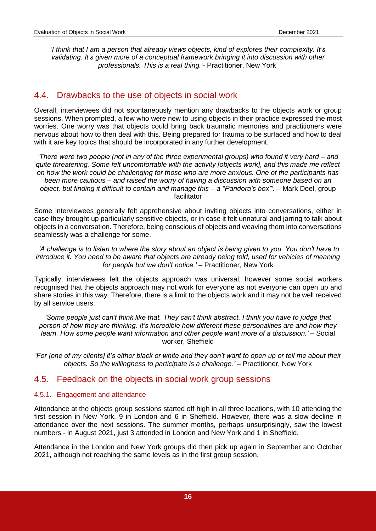*'I think that I am a person that already views objects, kind of explores their complexity. It's validating. It's given more of a conceptual framework bringing it into discussion with other professionals. This is a real thing.'*- Practitioner, New York'

# <span id="page-15-0"></span>4.4. Drawbacks to the use of objects in social work

Overall, interviewees did not spontaneously mention any drawbacks to the objects work or group sessions. When prompted, a few who were new to using objects in their practice expressed the most worries. One worry was that objects could bring back traumatic memories and practitioners were nervous about how to then deal with this. Being prepared for trauma to be surfaced and how to deal with it are key topics that should be incorporated in any further development.

*'There were two people (not in any of the three experimental groups) who found it very hard – and quite threatening. Some felt uncomfortable with the activity [objects work], and this made me reflect on how the work could be challenging for those who are more anxious. One of the participants has been more cautious – and raised the worry of having a discussion with someone based on an object, but finding it difficult to contain and manage this – a "Pandora's box"'.* – Mark Doel, group facilitator

Some interviewees generally felt apprehensive about inviting objects into conversations, either in case they brought up particularly sensitive objects, or in case it felt unnatural and jarring to talk about objects in a conversation. Therefore, being conscious of objects and weaving them into conversations seamlessly was a challenge for some.

*'A challenge is to listen to where the story about an object is being given to you. You don't have to introduce it. You need to be aware that objects are already being told, used for vehicles of meaning for people but we don't notice.' –* Practitioner, New York

Typically, interviewees felt the objects approach was universal, however some social workers recognised that the objects approach may not work for everyone as not everyone can open up and share stories in this way. Therefore, there is a limit to the objects work and it may not be well received by all service users.

'Some people just can't think like that. They can't think abstract. I think you have to judge that *person of how they are thinking. It's incredible how different these personalities are and how they learn. How some people want information and other people want more of a discussion.' –* Social worker, Sheffield

*'For [one of my clients] it's either black or white and they don't want to open up or tell me about their objects. So the willingness to participate is a challenge.' –* Practitioner, New York

### <span id="page-15-1"></span>4.5. Feedback on the objects in social work group sessions

#### <span id="page-15-2"></span>4.5.1. Engagement and attendance

Attendance at the objects group sessions started off high in all three locations, with 10 attending the first session in New York, 9 in London and 6 in Sheffield. However, there was a slow decline in attendance over the next sessions. The summer months, perhaps unsurprisingly, saw the lowest numbers - in August 2021, just 3 attended in London and New York and 1 in Sheffield.

Attendance in the London and New York groups did then pick up again in September and October 2021, although not reaching the same levels as in the first group session.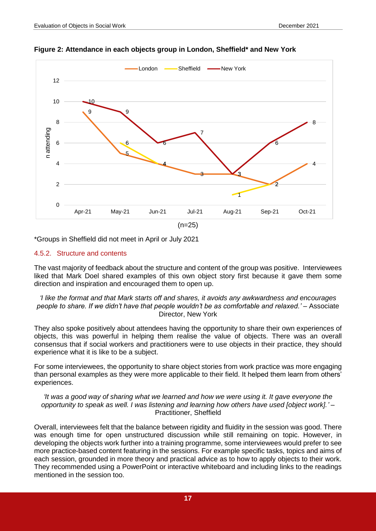

**Figure 2: Attendance in each objects group in London, Sheffield\* and New York** 

\*Groups in Sheffield did not meet in April or July 2021

### <span id="page-16-0"></span>4.5.2. Structure and contents

The vast majority of feedback about the structure and content of the group was positive. Interviewees liked that Mark Doel shared examples of this own object story first because it gave them some direction and inspiration and encouraged them to open up.

*'I like the format and that Mark starts off and shares, it avoids any awkwardness and encourages people to share. If we didn't have that people wouldn't be as comfortable and relaxed.' –* Associate Director, New York

They also spoke positively about attendees having the opportunity to share their own experiences of objects, this was powerful in helping them realise the value of objects. There was an overall consensus that if social workers and practitioners were to use objects in their practice, they should experience what it is like to be a subject.

For some interviewees, the opportunity to share object stories from work practice was more engaging than personal examples as they were more applicable to their field. It helped them learn from others' experiences.

*'It was a good way of sharing what we learned and how we were using it. It gave everyone the opportunity to speak as well. I was listening and learning how others have used [object work].' –* Practitioner, Sheffield

Overall, interviewees felt that the balance between rigidity and fluidity in the session was good. There was enough time for open unstructured discussion while still remaining on topic. However, in developing the objects work further into a training programme, some interviewees would prefer to see more practice-based content featuring in the sessions. For example specific tasks, topics and aims of each session, grounded in more theory and practical advice as to how to apply objects to their work. They recommended using a PowerPoint or interactive whiteboard and including links to the readings mentioned in the session too.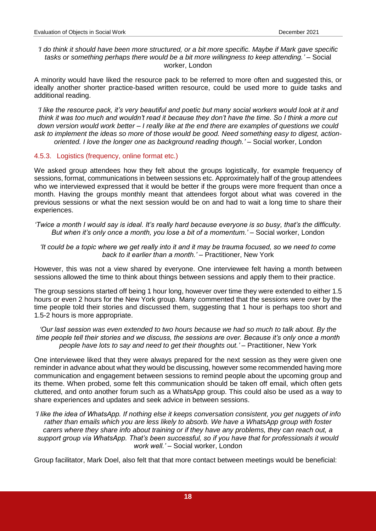*'I do think it should have been more structured, or a bit more specific. Maybe if Mark gave specific tasks or something perhaps there would be a bit more willingness to keep attending.'* – Social worker, London

A minority would have liked the resource pack to be referred to more often and suggested this, or ideally another shorter practice-based written resource, could be used more to guide tasks and additional reading.

*'I like the resource pack, it's very beautiful and poetic but many social workers would look at it and think it was too much and wouldn't read it because they don't have the time. So I think a more cut down version would work better – I really like at the end there are examples of questions we could ask to implement the ideas so more of those would be good. Need something easy to digest, actionoriented. I love the longer one as background reading though.' –* Social worker, London

#### <span id="page-17-0"></span>4.5.3. Logistics (frequency, online format etc.)

We asked group attendees how they felt about the groups logistically, for example frequency of sessions, format, communications in between sessions etc. Approximately half of the group attendees who we interviewed expressed that it would be better if the groups were more frequent than once a month. Having the groups monthly meant that attendees forgot about what was covered in the previous sessions or what the next session would be on and had to wait a long time to share their experiences.

*'Twice a month I would say is ideal. It's really hard because everyone is so busy, that's the difficulty. But when it's only once a month, you lose a bit of a momentum.' –* Social worker, London

*'It could be a topic where we get really into it and it may be trauma focused, so we need to come back to it earlier than a month.' –* Practitioner, New York

However, this was not a view shared by everyone. One interviewee felt having a month between sessions allowed the time to think about things between sessions and apply them to their practice.

The group sessions started off being 1 hour long, however over time they were extended to either 1.5 hours or even 2 hours for the New York group. Many commented that the sessions were over by the time people told their stories and discussed them, suggesting that 1 hour is perhaps too short and 1.5-2 hours is more appropriate.

*'Our last session was even extended to two hours because we had so much to talk about. By the time people tell their stories and we discuss, the sessions are over. Because it's only once a month people have lots to say and need to get their thoughts out.' –* Practitioner, New York

One interviewee liked that they were always prepared for the next session as they were given one reminder in advance about what they would be discussing, however some recommended having more communication and engagement between sessions to remind people about the upcoming group and its theme. When probed, some felt this communication should be taken off email, which often gets cluttered, and onto another forum such as a WhatsApp group. This could also be used as a way to share experiences and updates and seek advice in between sessions.

*'I like the idea of WhatsApp. If nothing else it keeps conversation consistent, you get nuggets of info rather than emails which you are less likely to absorb. We have a WhatsApp group with foster carers where they share info about training or if they have any problems, they can reach out, a support group via WhatsApp. That's been successful, so if you have that for professionals it would work well.' –* Social worker, London

Group facilitator, Mark Doel, also felt that that more contact between meetings would be beneficial: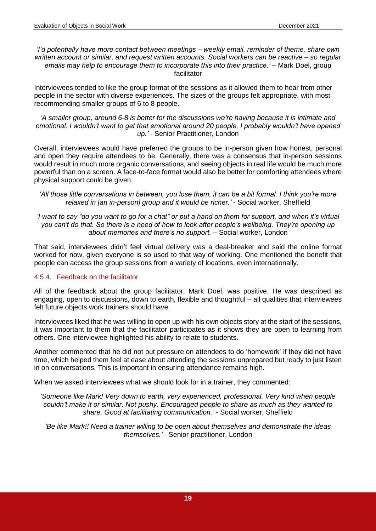#### *'I'd potentially have more contact between meetings – weekly email, reminder of theme, share own written account or similar, and request written accounts. Social workers can be reactive – so regular emails may help to encourage them to incorporate this into their practice.'* – Mark Doel, group facilitator

Interviewees tended to like the group format of the sessions as it allowed them to hear from other people in the sector with diverse experiences. The sizes of the groups felt appropriate, with most recommending smaller groups of 6 to 8 people.

*'A smaller group, around 6-8 is better for the discussions we're having because it is intimate and emotional. I wouldn't want to get that emotional around 20 people, I probably wouldn't have opened up.'* - Senior Practitioner, London

Overall, interviewees would have preferred the groups to be in-person given how honest, personal and open they require attendees to be. Generally, there was a consensus that in-person sessions would result in much more organic conversations, and seeing objects in real life would be much more powerful than on a screen. A face-to-face format would also be better for comforting attendees where physical support could be given.

*'I want to say "do you want to go for a chat" or put a hand on them for support, and when it's virtual you can't do that. So there is a need of how to look after people's wellbeing. They're opening up about memories and there's no support. –* Social worker, London

That said, interviewees didn't feel virtual delivery was a deal-breaker and said the online format worked for now, given everyone is so used to that way of working. One mentioned the benefit that people can access the group sessions from a variety of locations, even internationally.

### <span id="page-18-0"></span>4.5.4. Feedback on the facilitator

All of the feedback about the group facilitator, Mark Doel, was positive. He was described as engaging, open to discussions, down to earth, flexible and thoughtful – all qualities that interviewees felt future objects work trainers should have.

Interviewees liked that he was willing to open up with his own objects story at the start of the sessions, it was important to them that the facilitator participates as it shows they are open to learning from others. One interviewee highlighted his ability to relate to students.

Another commented that he did not put pressure on attendees to do 'homework' if they did not have time, which helped them feel at ease about attending the sessions unprepared but ready to just listen in on conversations. This is important in ensuring attendance remains high.

When we asked interviewees what we should look for in a trainer, they commented:

*'Someone like Mark! Very down to earth, very experienced, professional. Very kind when people couldn't make it or similar. Not pushy. Encouraged people to share as much as they wanted to share. Good at facilitating communication.'* - Social worker, Sheffield

*'Be like Mark!! Need a trainer willing to be open about themselves and demonstrate the ideas themselves.'* - Senior practitioner, London

*<sup>&#</sup>x27;All those little conversations in between, you lose them, it can be a bit formal. I think you're more relaxed in [an in-person] group and it would be richer.'* - Social worker, Sheffield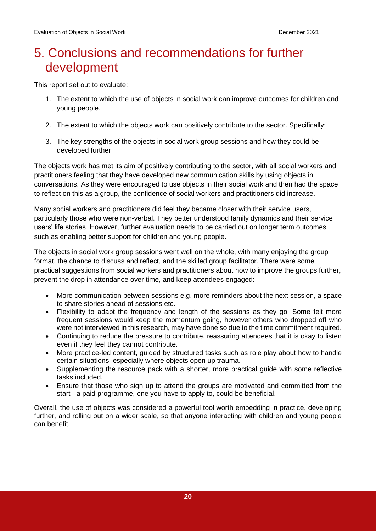# <span id="page-19-0"></span>5. Conclusions and recommendations for further development

This report set out to evaluate:

- 1. The extent to which the use of objects in social work can improve outcomes for children and young people.
- 2. The extent to which the objects work can positively contribute to the sector. Specifically:
- 3. The key strengths of the objects in social work group sessions and how they could be developed further

The objects work has met its aim of positively contributing to the sector, with all social workers and practitioners feeling that they have developed new communication skills by using objects in conversations. As they were encouraged to use objects in their social work and then had the space to reflect on this as a group, the confidence of social workers and practitioners did increase.

Many social workers and practitioners did feel they became closer with their service users, particularly those who were non-verbal. They better understood family dynamics and their service users' life stories. However, further evaluation needs to be carried out on longer term outcomes such as enabling better support for children and young people.

The objects in social work group sessions went well on the whole, with many enjoying the group format, the chance to discuss and reflect, and the skilled group facilitator. There were some practical suggestions from social workers and practitioners about how to improve the groups further, prevent the drop in attendance over time, and keep attendees engaged:

- More communication between sessions e.g. more reminders about the next session, a space to share stories ahead of sessions etc.
- Flexibility to adapt the frequency and length of the sessions as they go. Some felt more frequent sessions would keep the momentum going, however others who dropped off who were not interviewed in this research, may have done so due to the time commitment required.
- Continuing to reduce the pressure to contribute, reassuring attendees that it is okay to listen even if they feel they cannot contribute.
- More practice-led content, guided by structured tasks such as role play about how to handle certain situations, especially where objects open up trauma.
- Supplementing the resource pack with a shorter, more practical guide with some reflective tasks included.
- Ensure that those who sign up to attend the groups are motivated and committed from the start - a paid programme, one you have to apply to, could be beneficial.

Overall, the use of objects was considered a powerful tool worth embedding in practice, developing further, and rolling out on a wider scale, so that anyone interacting with children and young people can benefit.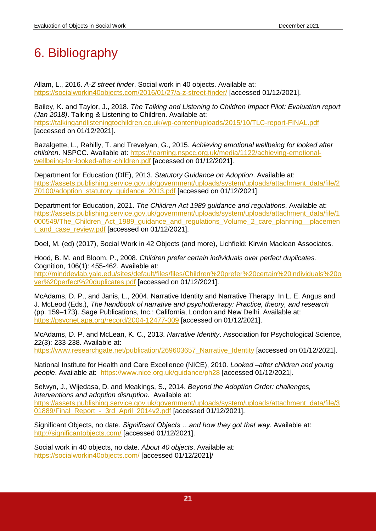# <span id="page-20-0"></span>6. Bibliography

Allam, L., 2016. *A-Z street finder*. Social work in 40 objects. Available at: <https://socialworkin40objects.com/2016/01/27/a-z-street-finder/> [accessed 01/12/2021].

Bailey, K. and Taylor, J., 2018. *The Talking and Listening to Children Impact Pilot: Evaluation report (Jan 2018)*. Talking & Listening to Children. Available at: <https://talkingandlisteningtochildren.co.uk/wp-content/uploads/2015/10/TLC-report-FINAL.pdf> [accessed on 01/12/2021].

Bazalgette, L., Rahilly, T. and Trevelyan, G., 2015. *Achieving emotional wellbeing for looked after children*. NSPCC. Available at: [https://learning.nspcc.org.uk/media/1122/achieving-emotional](https://learning.nspcc.org.uk/media/1122/achieving-emotional-wellbeing-for-looked-after-children.pdf)[wellbeing-for-looked-after-children.pdf](https://learning.nspcc.org.uk/media/1122/achieving-emotional-wellbeing-for-looked-after-children.pdf) [accessed on 01/12/2021].

Department for Education (DfE), 2013. *Statutory Guidance on Adoption*. Available at: [https://assets.publishing.service.gov.uk/government/uploads/system/uploads/attachment\\_data/file/2](https://assets.publishing.service.gov.uk/government/uploads/system/uploads/attachment_data/file/270100/adoption_statutory_guidance_2013.pdf) [70100/adoption\\_statutory\\_guidance\\_2013.pdf](https://assets.publishing.service.gov.uk/government/uploads/system/uploads/attachment_data/file/270100/adoption_statutory_guidance_2013.pdf) [accessed on 01/12/2021].

Department for Education, 2021. *The Children Act 1989 guidance and regulations*. Available at: [https://assets.publishing.service.gov.uk/government/uploads/system/uploads/attachment\\_data/file/1](https://assets.publishing.service.gov.uk/government/uploads/system/uploads/attachment_data/file/1000549/The_Children_Act_1989_guidance_and_regulations_Volume_2_care_planning__placement_and_case_review.pdf) 000549/The Children Act 1989 quidance and regulations Volume 2 care planning placemen t and case review.pdf [accessed on 01/12/2021].

Doel, M. (ed) (2017), Social Work in 42 Objects (and more), Lichfield: Kirwin Maclean Associates.

Hood, B. M. and Bloom, P., 2008. *Children prefer certain individuals over perfect duplicates.*  Cognition, 106(1): 455-462. Available at: [http://minddevlab.yale.edu/sites/default/files/files/Children%20prefer%20certain%20individuals%20o](http://minddevlab.yale.edu/sites/default/files/files/Children%20prefer%20certain%20individuals%20over%20perfect%20duplicates.pdf) [ver%20perfect%20duplicates.pdf](http://minddevlab.yale.edu/sites/default/files/files/Children%20prefer%20certain%20individuals%20over%20perfect%20duplicates.pdf) [accessed on 01/12/2021].

McAdams, D. P., and Janis, L., 2004. Narrative Identity and Narrative Therapy. In L. E. Angus and J. McLeod (Eds.), *The handbook of narrative and psychotherapy: Practice, theory, and research* (pp. 159–173). Sage Publications, Inc.: California, London and New Delhi. Available at: <https://psycnet.apa.org/record/2004-12477-009> [accessed on 01/12/2021].

McAdams, D. P. and McLean, K. C., 2013. *Narrative Identity*. Association for Psychological Science, 22(3): 233-238. Available at: https://www.researchgate.net/publication/269603657 Narrative Identity [accessed on 01/12/2021].

National Institute for Health and Care Excellence (NICE), 2010. *Looked –after children and young people*. Available at: <https://www.nice.org.uk/guidance/ph28> [accessed 01/12/2021].

Selwyn, J., Wijedasa, D. and Meakings, S., 2014. *Beyond the Adoption Order: challenges, interventions and adoption disruption*. Available at: [https://assets.publishing.service.gov.uk/government/uploads/system/uploads/attachment\\_data/file/3](https://assets.publishing.service.gov.uk/government/uploads/system/uploads/attachment_data/file/301889/Final_Report_-_3rd_April_2014v2.pdf) 01889/Final\_Report - 3rd April 2014v2.pdf [accessed 01/12/2021].

Significant Objects, no date. *Significant Objects …and how they got that way*. Available at: <http://significantobjects.com/> [accessed 01/12/2021].

Social work in 40 objects, no date. *About 40 objects*. Available at: <https://socialworkin40objects.com/> [accessed 01/12/2021]/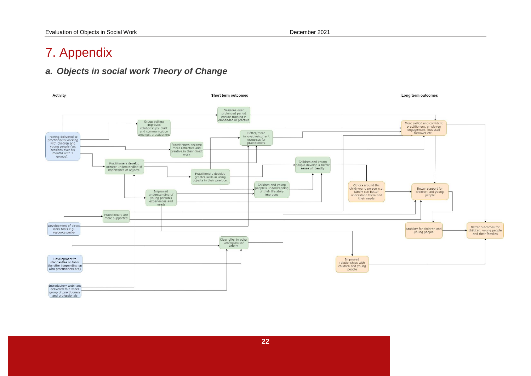# 7. Appendix

# *a. Objects in social work Theory of Change*

<span id="page-21-1"></span><span id="page-21-0"></span>